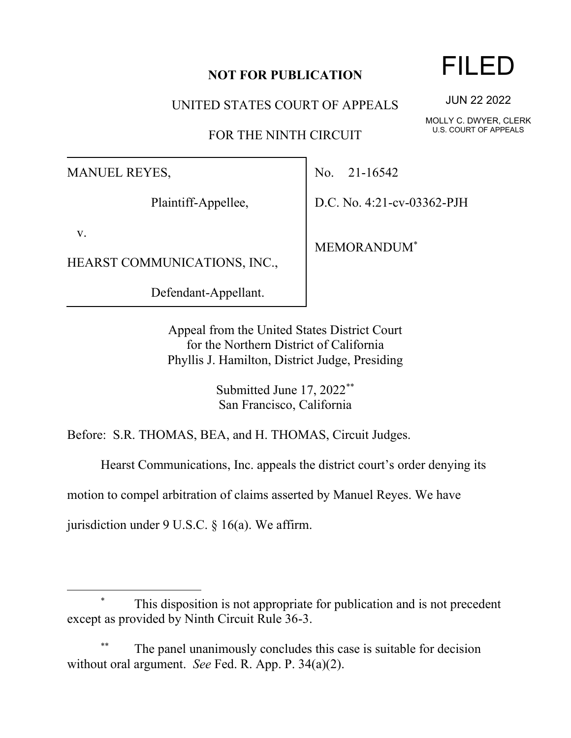## **NOT FOR PUBLICATION**

UNITED STATES COURT OF APPEALS

FOR THE NINTH CIRCUIT

MANUEL REYES,

Plaintiff-Appellee,

v.

HEARST COMMUNICATIONS, INC.,

Defendant-Appellant.

No. 21-16542

D.C. No. 4:21-cv-03362-PJH

MEMORANDUM\*

Appeal from the United States District Court for the Northern District of California Phyllis J. Hamilton, District Judge, Presiding

> Submitted June 17, 2022\*\* San Francisco, California

Before: S.R. THOMAS, BEA, and H. THOMAS, Circuit Judges.

Hearst Communications, Inc. appeals the district court's order denying its

motion to compel arbitration of claims asserted by Manuel Reyes. We have

jurisdiction under 9 U.S.C. § 16(a). We affirm.

The panel unanimously concludes this case is suitable for decision without oral argument. *See* Fed. R. App. P. 34(a)(2).

## FILED

JUN 22 2022

MOLLY C. DWYER, CLERK U.S. COURT OF APPEALS

This disposition is not appropriate for publication and is not precedent except as provided by Ninth Circuit Rule 36-3.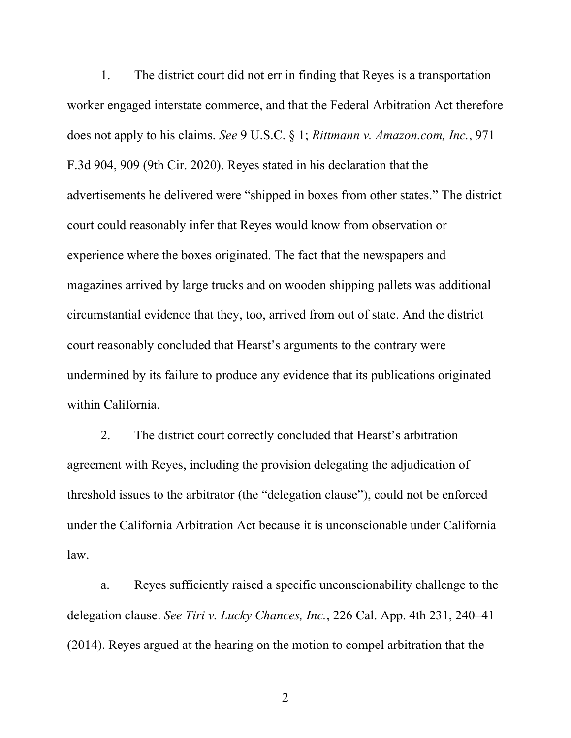1. The district court did not err in finding that Reyes is a transportation worker engaged interstate commerce, and that the Federal Arbitration Act therefore does not apply to his claims. *See* 9 U.S.C. § 1; *Rittmann v. Amazon.com, Inc.*, 971 F.3d 904, 909 (9th Cir. 2020). Reyes stated in his declaration that the advertisements he delivered were "shipped in boxes from other states." The district court could reasonably infer that Reyes would know from observation or experience where the boxes originated. The fact that the newspapers and magazines arrived by large trucks and on wooden shipping pallets was additional circumstantial evidence that they, too, arrived from out of state. And the district court reasonably concluded that Hearst's arguments to the contrary were undermined by its failure to produce any evidence that its publications originated within California.

2. The district court correctly concluded that Hearst's arbitration agreement with Reyes, including the provision delegating the adjudication of threshold issues to the arbitrator (the "delegation clause"), could not be enforced under the California Arbitration Act because it is unconscionable under California law.

a. Reyes sufficiently raised a specific unconscionability challenge to the delegation clause. *See Tiri v. Lucky Chances, Inc.*, 226 Cal. App. 4th 231, 240–41 (2014). Reyes argued at the hearing on the motion to compel arbitration that the

2 a set of  $\sim$  2 a set of  $\sim$  2 a set of  $\sim$  2 a set of  $\sim$  3 a set of  $\sim$  3 a set of  $\sim$  3 a set of  $\sim$  3 a set of  $\sim$  3 a set of  $\sim$  3 a set of  $\sim$  3 a set of  $\sim$  3 a set of  $\sim$  3 a set of  $\sim$  3 a set of  $\sim$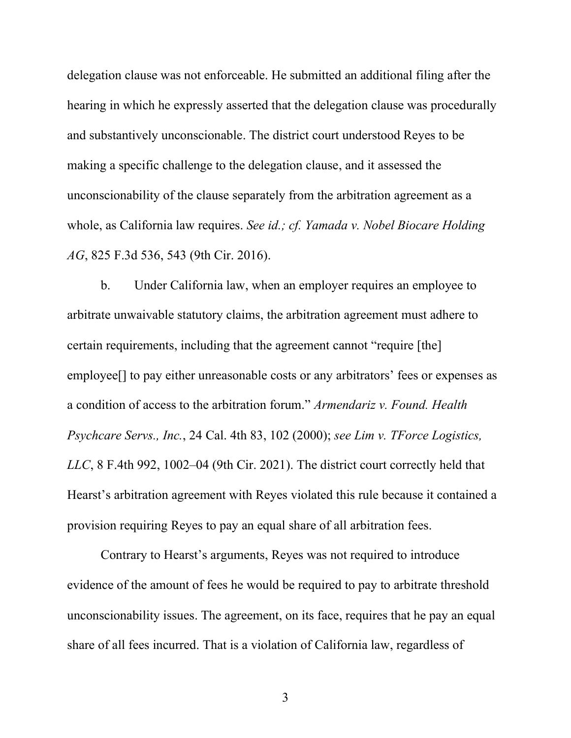delegation clause was not enforceable. He submitted an additional filing after the hearing in which he expressly asserted that the delegation clause was procedurally and substantively unconscionable. The district court understood Reyes to be making a specific challenge to the delegation clause, and it assessed the unconscionability of the clause separately from the arbitration agreement as a whole, as California law requires. *See id.; cf. Yamada v. Nobel Biocare Holding AG*, 825 F.3d 536, 543 (9th Cir. 2016).

b. Under California law, when an employer requires an employee to arbitrate unwaivable statutory claims, the arbitration agreement must adhere to certain requirements, including that the agreement cannot "require [the] employee[] to pay either unreasonable costs or any arbitrators' fees or expenses as a condition of access to the arbitration forum." *Armendariz v. Found. Health Psychcare Servs., Inc.*, 24 Cal. 4th 83, 102 (2000); *see Lim v. TForce Logistics, LLC*, 8 F.4th 992, 1002–04 (9th Cir. 2021). The district court correctly held that Hearst's arbitration agreement with Reyes violated this rule because it contained a provision requiring Reyes to pay an equal share of all arbitration fees.

Contrary to Hearst's arguments, Reyes was not required to introduce evidence of the amount of fees he would be required to pay to arbitrate threshold unconscionability issues. The agreement, on its face, requires that he pay an equal share of all fees incurred. That is a violation of California law, regardless of

3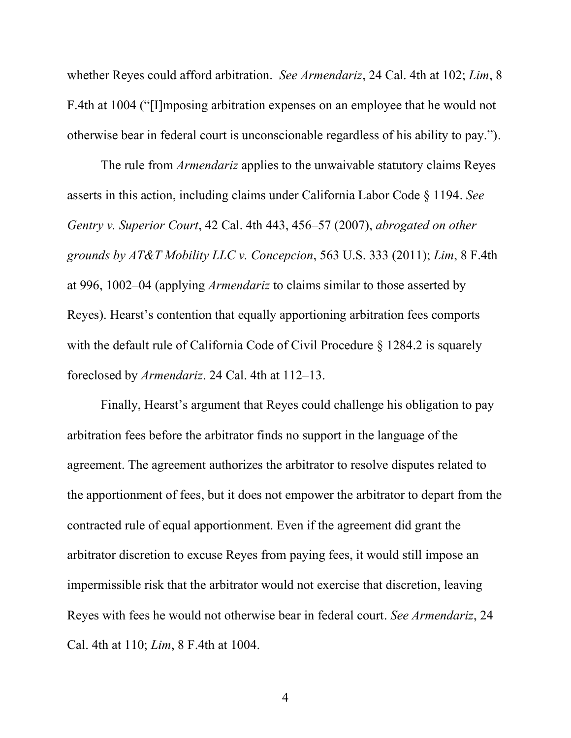whether Reyes could afford arbitration. *See Armendariz*, 24 Cal. 4th at 102; *Lim*, 8 F.4th at 1004 ("[I]mposing arbitration expenses on an employee that he would not otherwise bear in federal court is unconscionable regardless of his ability to pay.").

The rule from *Armendariz* applies to the unwaivable statutory claims Reyes asserts in this action, including claims under California Labor Code § 1194. *See Gentry v. Superior Court*, 42 Cal. 4th 443, 456–57 (2007), *abrogated on other grounds by AT&T Mobility LLC v. Concepcion*, 563 U.S. 333 (2011); *Lim*, 8 F.4th at 996, 1002–04 (applying *Armendariz* to claims similar to those asserted by Reyes). Hearst's contention that equally apportioning arbitration fees comports with the default rule of California Code of Civil Procedure § 1284.2 is squarely foreclosed by *Armendariz*. 24 Cal. 4th at 112–13.

Finally, Hearst's argument that Reyes could challenge his obligation to pay arbitration fees before the arbitrator finds no support in the language of the agreement. The agreement authorizes the arbitrator to resolve disputes related to the apportionment of fees, but it does not empower the arbitrator to depart from the contracted rule of equal apportionment. Even if the agreement did grant the arbitrator discretion to excuse Reyes from paying fees, it would still impose an impermissible risk that the arbitrator would not exercise that discretion, leaving Reyes with fees he would not otherwise bear in federal court. *See Armendariz*, 24 Cal. 4th at 110; *Lim*, 8 F.4th at 1004.

4